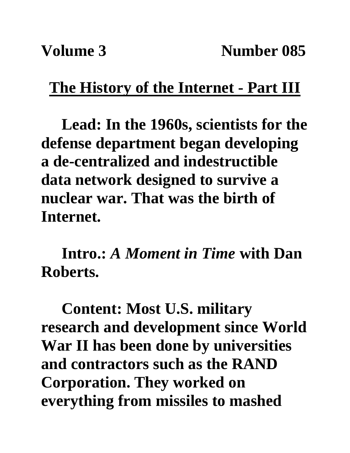## **The History of the Internet - Part III**

**Lead: In the 1960s, scientists for the defense department began developing a de-centralized and indestructible data network designed to survive a nuclear war. That was the birth of Internet.**

**Intro.:** *A Moment in Time* **with Dan Roberts.**

**Content: Most U.S. military research and development since World War II has been done by universities and contractors such as the RAND Corporation. They worked on everything from missiles to mashed**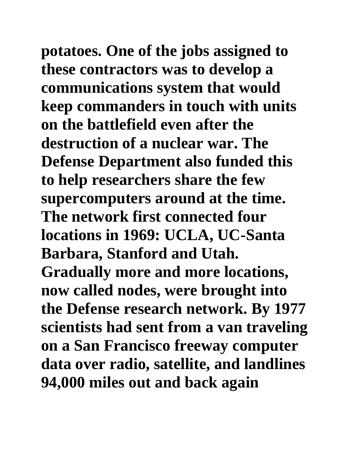**potatoes. One of the jobs assigned to these contractors was to develop a communications system that would keep commanders in touch with units on the battlefield even after the destruction of a nuclear war. The Defense Department also funded this to help researchers share the few supercomputers around at the time. The network first connected four locations in 1969: UCLA, UC-Santa Barbara, Stanford and Utah. Gradually more and more locations, now called nodes, were brought into the Defense research network. By 1977 scientists had sent from a van traveling on a San Francisco freeway computer data over radio, satellite, and landlines 94,000 miles out and back again**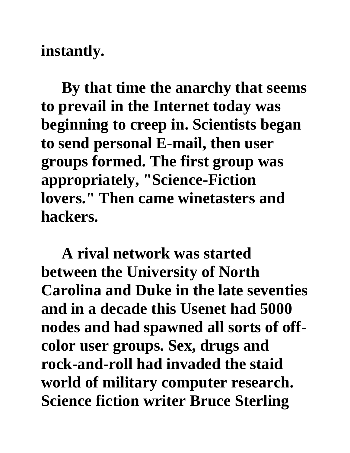**instantly.** 

**By that time the anarchy that seems to prevail in the Internet today was beginning to creep in. Scientists began to send personal E-mail, then user groups formed. The first group was appropriately, "Science-Fiction lovers." Then came winetasters and hackers.** 

**A rival network was started between the University of North Carolina and Duke in the late seventies and in a decade this Usenet had 5000 nodes and had spawned all sorts of offcolor user groups. Sex, drugs and rock-and-roll had invaded the staid world of military computer research. Science fiction writer Bruce Sterling**